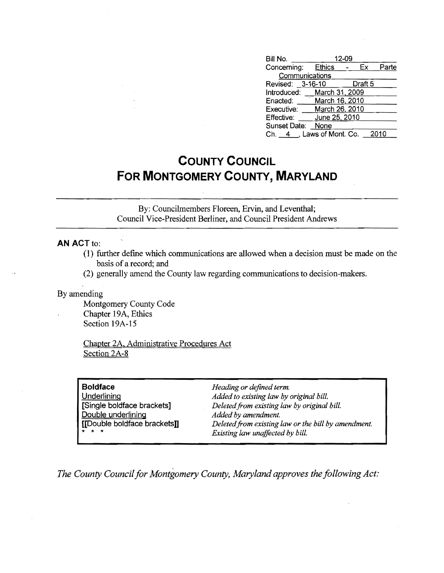| Bill No.                   |                | 12-09 |         |       |
|----------------------------|----------------|-------|---------|-------|
| Concerning: Ethics         |                |       | Ex      | Parte |
| Communications             |                |       |         |       |
| Revised: 3-16-10           |                |       | Draft 5 |       |
| Introduced: March 31, 2009 |                |       |         |       |
| Enacted:                   | March 16, 2010 |       |         |       |
| Executive:                 | March 26, 2010 |       |         |       |
| Effective:                 | June 25, 2010  |       |         |       |
| Sunset Date:               | None           |       |         |       |
| Ch. 4 , Laws of Mont. Co.  |                |       |         | 2010  |

## **COUNTY COUNCIL FOR MONTGOMERY COUNTY, MARYLAND**

By: Councilmembers Floreen, Ervin, and Leventhal; Council Vice-President Berliner, and Council President Andrews

## **AN ACT to:**

- (1) further defme which communications are allowed when a decision must be made on the basis of a record; and
- (2) generally amend the County law regarding communications to decision-makers.

By amending

Montgomery County Code Chapter 19A, Ethics Section 19A-15

Chapter 2A. Administrative Procedures Act Section 2A-8

| <b>Boldface</b>              | Heading or defined term.                            |
|------------------------------|-----------------------------------------------------|
| Underlining                  | Added to existing law by original bill.             |
| [Single boldface brackets]   | Deleted from existing law by original bill.         |
| Double underlining           | Added by amendment.                                 |
| [[Double boldface brackets]] | Deleted from existing law or the bill by amendment. |
| * * *                        | Existing law unaffected by bill.                    |

*The County Council for Montgomery County, Maryland approves the following Act:*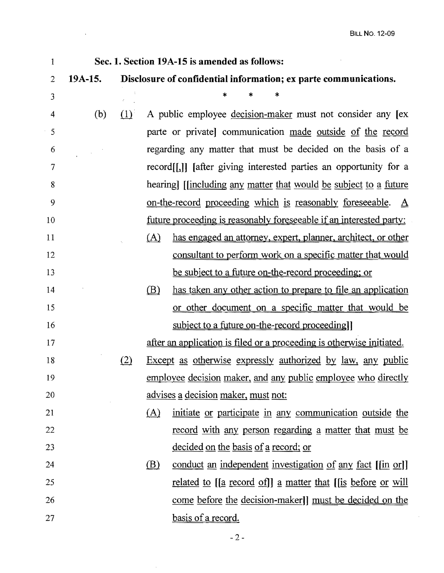$\hat{\mathcal{A}}$ 

| $\mathbf{1}$   | Sec. 1. Section 19A-15 is amended as follows: |     |                                                                  |                                                                                |  |
|----------------|-----------------------------------------------|-----|------------------------------------------------------------------|--------------------------------------------------------------------------------|--|
| $\overline{2}$ | 19A-15.                                       |     | Disclosure of confidential information; ex parte communications. |                                                                                |  |
| 3              |                                               |     |                                                                  | *                                                                              |  |
| 4              | (b)                                           | (1) |                                                                  | A public employee decision-maker must not consider any lex                     |  |
| 5              |                                               |     |                                                                  | parte or private communication made outside of the record                      |  |
| 6              |                                               |     | regarding any matter that must be decided on the basis of a      |                                                                                |  |
| 7              |                                               |     |                                                                  | record <sup>[[1]</sup> ] [after giving interested parties an opportunity for a |  |
| 8              |                                               |     |                                                                  | hearing] [[including any matter that would be subject to a future              |  |
| 9              |                                               |     |                                                                  | on-the-record proceeding which is reasonably foreseeable.<br>$\Delta$          |  |
| 10             |                                               |     |                                                                  | future proceeding is reasonably foreseeable if an interested party:            |  |
| 11             |                                               |     | (A)                                                              | has engaged an attorney, expert, planner, architect, or other                  |  |
| 12             |                                               |     |                                                                  | consultant to perform work on a specific matter that would                     |  |
| 13             |                                               |     |                                                                  | be subject to a future on-the-record proceeding; or                            |  |
| 14             |                                               |     | (B)                                                              | has taken any other action to prepare to file an application                   |  |
| 15             |                                               |     |                                                                  | or other document on a specific matter that would be                           |  |
| 16             |                                               |     |                                                                  | subject to a future on-the-record proceeding.                                  |  |
| 17             |                                               |     |                                                                  | after an application is filed or a proceeding is otherwise initiated.          |  |
| 18             |                                               | (2) |                                                                  | <u>Except as otherwise expressly authorized by law, any public</u>             |  |
| 19             |                                               |     |                                                                  | employee decision maker, and any public employee who directly                  |  |
| 20             |                                               |     |                                                                  | <u>advises a decision maker, must not:</u>                                     |  |
| 21             |                                               |     | (A)                                                              | initiate or participate in any communication outside the                       |  |
| 22             |                                               |     |                                                                  | <u>record with any person regarding a matter that must be</u>                  |  |
| 23             |                                               |     |                                                                  | <u>decided on the basis of a record; or</u>                                    |  |
| 24             |                                               |     | $\circled{B}$                                                    | conduct an independent investigation of any fact [[in or]]                     |  |
| 25             |                                               |     |                                                                  | <u>related to [[a record of]] a matter that [[is before or will</u>            |  |
| 26             |                                               |     |                                                                  | come before the decision-maker]] must be decided on the                        |  |
| 27             |                                               |     |                                                                  | basis of a record.                                                             |  |

 $\lambda$ 

 $-2-$ 

 $\mathcal{A}^{\mathcal{A}}$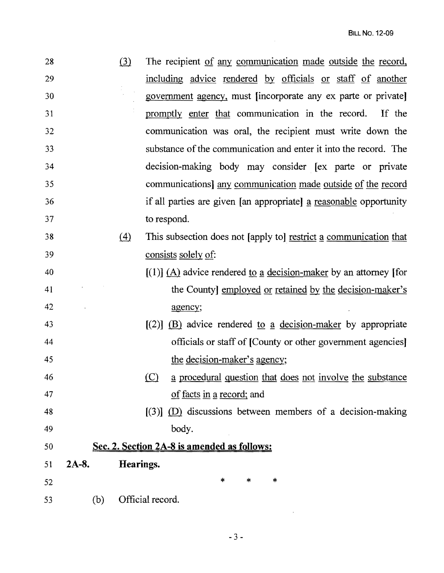| 28 |          | (3)       | The recipient of any communication made outside the record,         |
|----|----------|-----------|---------------------------------------------------------------------|
| 29 |          |           | including advice rendered by officials or staff of another          |
| 30 |          |           | government agency, must lincorporate any ex parte or private        |
| 31 |          |           | promptly enter that communication in the record. If the             |
| 32 |          |           | communication was oral, the recipient must write down the           |
| 33 |          |           | substance of the communication and enter it into the record. The    |
| 34 |          |           | decision-making body may consider [ex parte or private              |
| 35 |          |           | communications] any communication made outside of the record        |
| 36 |          |           | if all parties are given [an appropriate] a reasonable opportunity  |
| 37 |          |           | to respond.                                                         |
| 38 |          | (4)       | This subsection does not [apply to] restrict a communication that   |
| 39 |          |           | consists solely of:                                                 |
| 40 |          |           | $[(1)]$ (A) advice rendered to a decision-maker by an attorney [for |
| 41 |          |           | the County] employed or retained by the decision-maker's            |
| 42 |          |           | agency;                                                             |
| 43 |          |           | $[(2)]$ (B) advice rendered to a decision-maker by appropriate      |
| 44 |          |           | officials or staff of [County or other government agencies]         |
| 45 |          |           | the decision-maker's agency;                                        |
| 46 |          |           | (C) a procedural question that does not involve the substance       |
| 47 |          |           | of facts in a record; and                                           |
| 48 |          |           | $[3]$ (D) discussions between members of a decision-making          |
| 49 |          |           | body.                                                               |
| 50 |          |           | Sec. 2. Section 2A-8 is amended as follows:                         |
| 51 | $2A-8$ . | Hearings. |                                                                     |
| 52 |          |           | $\ast$<br>*<br>$\ast$                                               |
| 53 | (b)      |           | Official record.                                                    |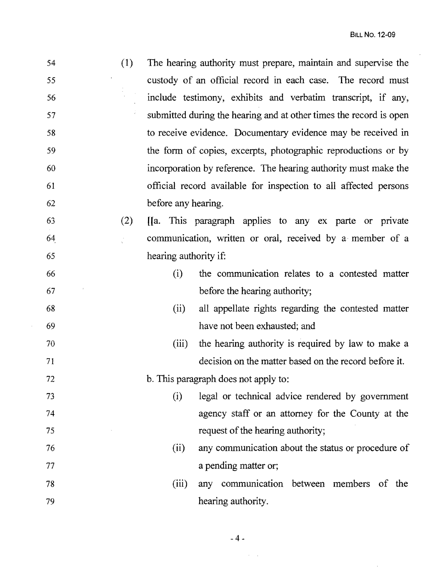$\hat{\mathcal{A}}$ 

 $\sim$   $\sim$ 

| 54 | (1) | The hearing authority must prepare, maintain and supervise the     |  |
|----|-----|--------------------------------------------------------------------|--|
| 55 |     | custody of an official record in each case. The record must        |  |
| 56 |     | include testimony, exhibits and verbatim transcript, if any,       |  |
| 57 |     | submitted during the hearing and at other times the record is open |  |
| 58 |     | to receive evidence. Documentary evidence may be received in       |  |
| 59 |     | the form of copies, excerpts, photographic reproductions or by     |  |
| 60 |     | incorporation by reference. The hearing authority must make the    |  |
| 61 |     | official record available for inspection to all affected persons   |  |
| 62 |     | before any hearing.                                                |  |
| 63 | (2) | [[a. This paragraph applies to any ex parte or private             |  |
| 64 |     | communication, written or oral, received by a member of a          |  |
| 65 |     | hearing authority if:                                              |  |
| 66 |     | the communication relates to a contested matter<br>(i)             |  |
| 67 |     | before the hearing authority;                                      |  |
| 68 |     | all appellate rights regarding the contested matter<br>(ii)        |  |
| 69 |     | have not been exhausted; and                                       |  |
| 70 |     | the hearing authority is required by law to make a<br>(iii)        |  |
| 71 |     | decision on the matter based on the record before it.              |  |
| 72 |     | b. This paragraph does not apply to:                               |  |
| 73 |     | legal or technical advice rendered by government<br>(i)            |  |
| 74 |     | agency staff or an attorney for the County at the                  |  |
| 75 |     | request of the hearing authority;                                  |  |
| 76 |     | any communication about the status or procedure of<br>(ii)         |  |
| 77 |     | a pending matter or;                                               |  |
| 78 |     | any communication between members of the<br>(iii)                  |  |
| 79 |     | hearing authority.                                                 |  |

 $\sim$   $\sim$ 

-4~

 $\hat{\mathcal{L}}_{\text{max}}$  ,  $\hat{\mathcal{L}}_{\text{max}}$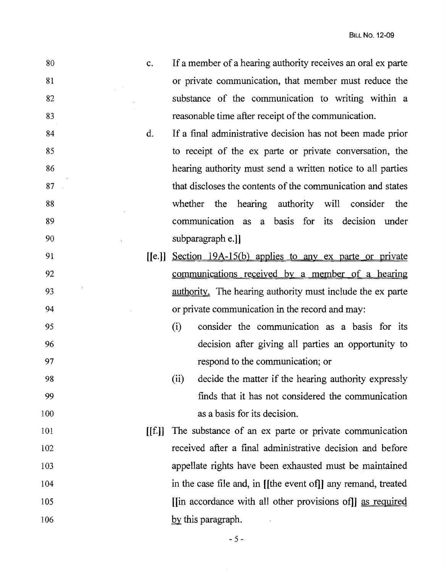| 80  | c.     | If a member of a hearing authority receives an oral ex parte       |
|-----|--------|--------------------------------------------------------------------|
| 81  |        | or private communication, that member must reduce the              |
| 82  |        | substance of the communication to writing within a                 |
| 83  |        | reasonable time after receipt of the communication.                |
| 84  | d.     | If a final administrative decision has not been made prior         |
| 85  |        | to receipt of the ex parte or private conversation, the            |
| 86  |        | hearing authority must send a written notice to all parties        |
| 87  |        | that discloses the contents of the communication and states        |
| 88  |        | whether the hearing authority will<br>consider<br>the              |
| 89  |        | communication as a basis for its decision under                    |
| 90  |        | subparagraph e.]]                                                  |
| 91  | [[e.]] | Section 19A-15(b) applies to any ex parte or private               |
| 92  |        | communications received by a member of a hearing                   |
| 93  |        | <u>authority</u> . The hearing authority must include the ex parte |
| 94  |        | or private communication in the record and may:                    |
| 95  |        | consider the communication as a basis for its<br>(i)               |
| 96  |        | decision after giving all parties an opportunity to                |
| 97  |        | respond to the communication; or                                   |
| 98  |        | (ii)<br>decide the matter if the hearing authority expressly       |
| 99  |        | finds that it has not considered the communication                 |
| 100 |        | as a basis for its decision.                                       |
| 101 | [[f.]] | The substance of an ex parte or private communication              |
| 102 |        | received after a final administrative decision and before          |
| 103 |        | appellate rights have been exhausted must be maintained            |
| 104 |        | in the case file and, in [[the event of]] any remand, treated      |
| 105 |        | [in accordance with all other provisions of]] as required          |
| 106 |        | $\underline{by}$ this paragraph.                                   |

 $-5 -$